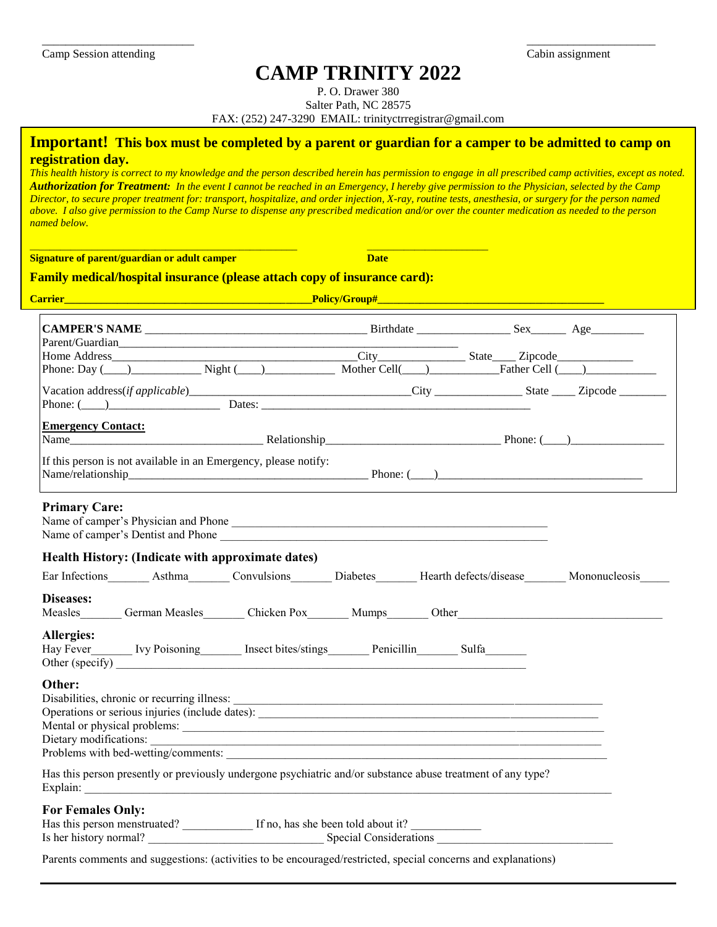### **CAMP TRINITY 2022**

\_\_\_\_\_\_\_\_\_\_\_\_\_\_\_\_\_\_\_\_\_\_\_\_\_\_ \_\_\_\_\_\_\_\_\_\_\_\_\_\_\_\_\_\_\_\_\_\_

P. O. Drawer 380

Salter Path, NC 28575

FAX: (252) 247-3290 EMAIL: trinityctrregistrar@gmail.com

### **Important! This box must be completed by a parent or guardian for a camper to be admitted to camp on registration day.**

*This health history is correct to my knowledge and the person described herein has permission to engage in all prescribed camp activities, except as noted. Authorization for Treatment: In the event I cannot be reached in an Emergency, I hereby give permission to the Physician, selected by the Camp Director, to secure proper treatment for: transport, hospitalize, and order injection, X-ray, routine tests, anesthesia, or surgery for the person named above. I also give permission to the Camp Nurse to dispense any prescribed medication and/or over the counter medication as needed to the person named below.*

**Signature of parent/guardian or adult camper Date Date** 

### **Family medical/hospital insurance (please attach copy of insurance card):**

\_\_\_\_\_\_\_\_\_\_\_\_\_\_\_\_\_\_\_\_\_\_\_\_\_\_\_\_\_\_\_\_\_\_\_\_\_\_\_\_\_\_\_\_\_\_\_\_\_\_\_ \_\_\_\_\_\_\_\_\_\_\_\_\_\_\_\_\_\_\_\_\_\_\_

| Carrier_                                                                                                                                                                                                                                                                                                                                 |  |  |
|------------------------------------------------------------------------------------------------------------------------------------------------------------------------------------------------------------------------------------------------------------------------------------------------------------------------------------------|--|--|
| Phone: Day $\overline{\text{O}}$ Night $\overline{\text{O}}$ Night $\overline{\text{O}}$ Nother Cell $\overline{\text{Cell}}$ Father Cell $\overline{\text{O}}$                                                                                                                                                                          |  |  |
| Phone: $(\_\_)$ Dates: $\_\_$ Dates: $\_\_$                                                                                                                                                                                                                                                                                              |  |  |
| <b>Emergency Contact:</b><br>If this person is not available in an Emergency, please notify:                                                                                                                                                                                                                                             |  |  |
| <b>Primary Care:</b><br>Name of camper's Physician and Phone                                                                                                                                                                                                                                                                             |  |  |
| Health History: (Indicate with approximate dates)                                                                                                                                                                                                                                                                                        |  |  |
| Ear Infections Asthma Convulsions Diabetes Hearth defects/disease Mononucleosis<br>Diseases:<br>Measles________ German Measles________ Chicken Pox________ Mumps_______ Other_________________________________<br>Allergies:<br>Hay Fever_________ Ivy Poisoning_________ Insect bites/stings_________ Penicillin_________ Sulfa________ |  |  |
| Other:<br>Mental or physical problems:<br>Dietary modifications: Note that the contract of the contract of the contract of the contract of the contract of the contract of the contract of the contract of the contract of the contract of the contract of the contract                                                                  |  |  |
| Has this person presently or previously undergone psychiatric and/or substance abuse treatment of any type?                                                                                                                                                                                                                              |  |  |
| <b>For Females Only:</b><br>Has this person menstruated? If no, has she been told about it?<br>Is her history normal? Special Considerations ___________________________________                                                                                                                                                         |  |  |
| Parents comments and suggestions: (activities to be encouraged/restricted, special concerns and explanations)                                                                                                                                                                                                                            |  |  |